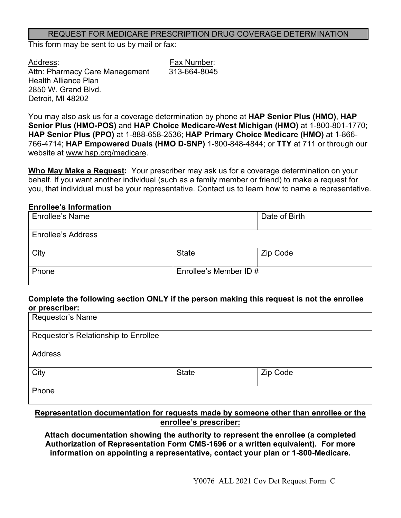### REQUEST FOR MEDICARE PRESCRIPTION DRUG COVERAGE DETERMINATION

This form may be sent to us by mail or fax:

Address: Fax Number: Attn: Pharmacy Care Management 313-664-8045 Health Alliance Plan 2850 W. Grand Blvd. Detroit, MI 48202

You may also ask us for a coverage determination by phone at **HAP Senior Plus (HMO)**, **HAP Senior Plus (HMO-POS)** and **HAP Choice Medicare-West Michigan (HMO)** at 1-800-801-1770; **HAP Senior Plus (PPO)** at 1-888-658-2536; **HAP Primary Choice Medicare (HMO)** at 1-866- 766-4714; **HAP Empowered Duals (HMO D-SNP)** 1-800-848-4844; or **TTY** at 711 or through our website at www.hap.org/medicare.

**Who May Make a Request:** Your prescriber may ask us for a coverage determination on your behalf. If you want another individual (such as a family member or friend) to make a request for you, that individual must be your representative. Contact us to learn how to name a representative.

### **Enrollee's Information**

| <b>Enrollee's Name</b>    |                        | Date of Birth |
|---------------------------|------------------------|---------------|
| <b>Enrollee's Address</b> |                        |               |
| City                      | <b>State</b>           | Zip Code      |
| Phone                     | Enrollee's Member ID # |               |

### **Complete the following section ONLY if the person making this request is not the enrollee or prescriber:**

| Requestor's Name                     |              |          |  |
|--------------------------------------|--------------|----------|--|
| Requestor's Relationship to Enrollee |              |          |  |
| Address                              |              |          |  |
| City                                 | <b>State</b> | Zip Code |  |
| Phone                                |              |          |  |

## **Representation documentation for requests made by someone other than enrollee or the enrollee's prescriber:**

**Attach documentation showing the authority to represent the enrollee (a completed Authorization of Representation Form CMS-1696 or a written equivalent). For more information on appointing a representative, contact your plan or 1-800-Medicare.**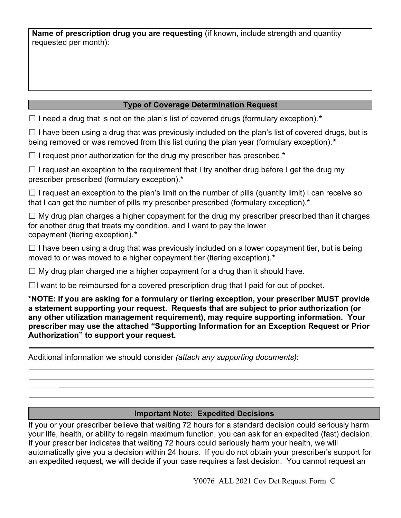**Name of prescription drug you are requesting** (if known, include strength and quantity requested per month):

# **Type of Coverage Determination Request**

☐ I need a drug that is not on the plan's list of covered drugs (formulary exception).*\**

 $\Box$  I have been using a drug that was previously included on the plan's list of covered drugs, but is being removed or was removed from this list during the plan year (formulary exception).*\**

 $\Box$  I request prior authorization for the drug my prescriber has prescribed.\*

 $\Box$  I request an exception to the requirement that I try another drug before I get the drug my prescriber prescribed (formulary exception).\*

 $\Box$  I request an exception to the plan's limit on the number of pills (quantity limit) I can receive so that I can get the number of pills my prescriber prescribed (formulary exception).\*

 $\Box$  My drug plan charges a higher copayment for the drug my prescriber prescribed than it charges for another drug that treats my condition, and I want to pay the lower copayment (tiering exception).*\** 

 $\Box$  I have been using a drug that was previously included on a lower copayment tier, but is being moved to or was moved to a higher copayment tier (tiering exception).*\**

 $\Box$  My drug plan charged me a higher copayment for a drug than it should have.

 $\Box$ I want to be reimbursed for a covered prescription drug that I paid for out of pocket.

**\*NOTE: If you are asking for a formulary or tiering exception, your prescriber MUST provide a statement supporting your request. Requests that are subject to prior authorization (or any other utilization management requirement), may require supporting information. Your prescriber may use the attached "Supporting Information for an Exception Request or Prior Authorization" to support your request.**

Additional information we should consider *(attach any supporting documents)*:

# **Important Note: Expedited Decisions**

If you or your prescriber believe that waiting 72 hours for a standard decision could seriously harm your life, health, or ability to regain maximum function, you can ask for an expedited (fast) decision. If your prescriber indicates that waiting 72 hours could seriously harm your health, we will automatically give you a decision within 24 hours. If you do not obtain your prescriber's support for an expedited request, we will decide if your case requires a fast decision. You cannot request an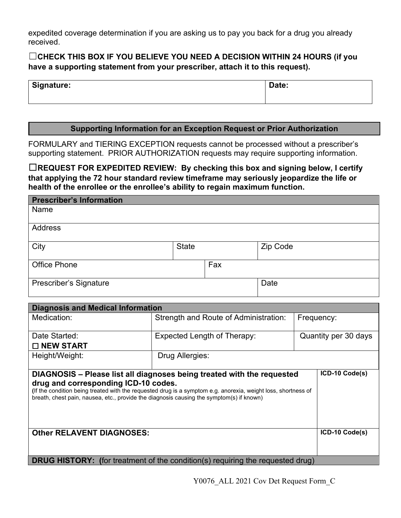expedited coverage determination if you are asking us to pay you back for a drug you already received.

# ☐**CHECK THIS BOX IF YOU BELIEVE YOU NEED A DECISION WITHIN 24 HOURS (if you have a supporting statement from your prescriber, attach it to this request).**

| Signature: | Date: |  |
|------------|-------|--|
|            |       |  |

## **Supporting Information for an Exception Request or Prior Authorization**

FORMULARY and TIERING EXCEPTION requests cannot be processed without a prescriber's supporting statement. PRIOR AUTHORIZATION requests may require supporting information.

☐**REQUEST FOR EXPEDITED REVIEW: By checking this box and signing below, I certify that applying the 72 hour standard review timeframe may seriously jeopardize the life or health of the enrollee or the enrollee's ability to regain maximum function.**

| <b>Prescriber's Information</b> |              |     |          |
|---------------------------------|--------------|-----|----------|
| Name                            |              |     |          |
| Address                         |              |     |          |
| City                            | <b>State</b> |     | Zip Code |
| <b>Office Phone</b>             |              | Fax |          |
| Prescriber's Signature          |              |     | Date     |

| <b>Diagnosis and Medical Information</b>                                                                                         |                                                                                                               |                      |                |  |
|----------------------------------------------------------------------------------------------------------------------------------|---------------------------------------------------------------------------------------------------------------|----------------------|----------------|--|
| Medication:                                                                                                                      | Strength and Route of Administration:<br>Frequency:                                                           |                      |                |  |
|                                                                                                                                  |                                                                                                               |                      |                |  |
| Date Started:                                                                                                                    | Expected Length of Therapy:                                                                                   | Quantity per 30 days |                |  |
| $\Box$ NEW START                                                                                                                 |                                                                                                               |                      |                |  |
| Height/Weight:                                                                                                                   | Drug Allergies:                                                                                               |                      |                |  |
|                                                                                                                                  |                                                                                                               |                      |                |  |
|                                                                                                                                  | ICD-10 Code(s)<br>DIAGNOSIS - Please list all diagnoses being treated with the requested                      |                      |                |  |
| drug and corresponding ICD-10 codes.<br>breath, chest pain, nausea, etc., provide the diagnosis causing the symptom(s) if known) | (If the condition being treated with the requested drug is a symptom e.g. anorexia, weight loss, shortness of |                      |                |  |
| <b>Other RELAVENT DIAGNOSES:</b>                                                                                                 |                                                                                                               |                      | ICD-10 Code(s) |  |
|                                                                                                                                  | <b>DRUG HISTORY:</b> (for treatment of the condition(s) requiring the requested drug)                         |                      |                |  |

Y0076\_ALL 2021 Cov Det Request Form\_C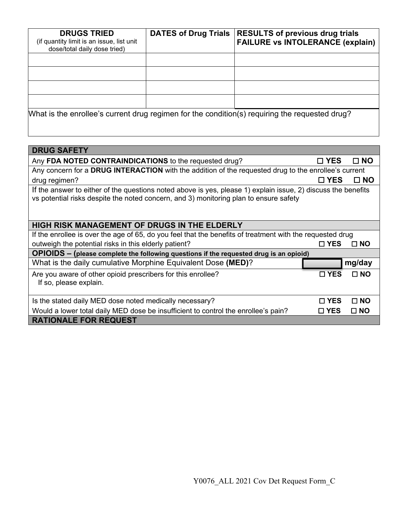| <b>DRUGS TRIED</b><br>(if quantity limit is an issue, list unit<br>dose/total daily dose tried) | <b>DATES of Drug Trials</b> | <b>RESULTS of previous drug trials</b><br><b>FAILURE vs INTOLERANCE (explain)</b>              |
|-------------------------------------------------------------------------------------------------|-----------------------------|------------------------------------------------------------------------------------------------|
|                                                                                                 |                             |                                                                                                |
|                                                                                                 |                             |                                                                                                |
|                                                                                                 |                             |                                                                                                |
|                                                                                                 |                             |                                                                                                |
|                                                                                                 |                             | What is the enrollee's current drug regimen for the condition(s) requiring the requested drug? |

| <b>DRUG SAFETY</b>                                                                                                                                                                                     |               |              |  |  |  |
|--------------------------------------------------------------------------------------------------------------------------------------------------------------------------------------------------------|---------------|--------------|--|--|--|
| Any FDA NOTED CONTRAINDICATIONS to the requested drug?                                                                                                                                                 | $\square$ YES | $\Box$ NO    |  |  |  |
| Any concern for a DRUG INTERACTION with the addition of the requested drug to the enrollee's current                                                                                                   |               |              |  |  |  |
| drug regimen?                                                                                                                                                                                          | □ YES         | $\Box$ NO    |  |  |  |
| If the answer to either of the questions noted above is yes, please 1) explain issue, 2) discuss the benefits<br>vs potential risks despite the noted concern, and 3) monitoring plan to ensure safety |               |              |  |  |  |
| HIGH RISK MANAGEMENT OF DRUGS IN THE ELDERLY                                                                                                                                                           |               |              |  |  |  |
| If the enrollee is over the age of 65, do you feel that the benefits of treatment with the requested drug                                                                                              |               |              |  |  |  |
| outweigh the potential risks in this elderly patient?                                                                                                                                                  | $\square$ YES | $\square$ NO |  |  |  |
| OPIOIDS - (please complete the following questions if the requested drug is an opioid)                                                                                                                 |               |              |  |  |  |
| What is the daily cumulative Morphine Equivalent Dose (MED)?                                                                                                                                           |               | mg/day       |  |  |  |
| Are you aware of other opioid prescribers for this enrollee?<br>If so, please explain.                                                                                                                 | $\square$ YES | $\Box$ NO    |  |  |  |
| Is the stated daily MED dose noted medically necessary?                                                                                                                                                | $\square$ YES | $\square$ NO |  |  |  |
| Would a lower total daily MED dose be insufficient to control the enrollee's pain?                                                                                                                     | $\square$ YES | $\square$ NO |  |  |  |
| <b>RATIONALE FOR REQUEST</b>                                                                                                                                                                           |               |              |  |  |  |